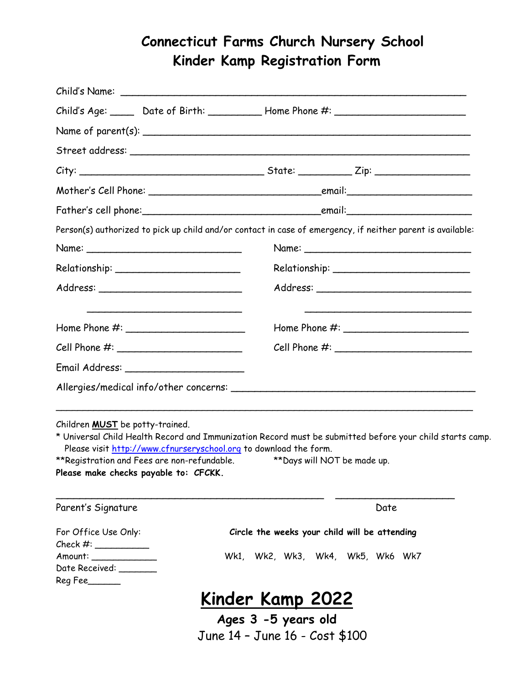## **Connecticut Farms Church Nursery School Kinder Kamp Registration Form**

|                                                                                                                                                      |  | Child's Age: ______ Date of Birth: ____________ Home Phone #: ___________________                                                                                                    |  |
|------------------------------------------------------------------------------------------------------------------------------------------------------|--|--------------------------------------------------------------------------------------------------------------------------------------------------------------------------------------|--|
|                                                                                                                                                      |  |                                                                                                                                                                                      |  |
|                                                                                                                                                      |  |                                                                                                                                                                                      |  |
|                                                                                                                                                      |  |                                                                                                                                                                                      |  |
|                                                                                                                                                      |  |                                                                                                                                                                                      |  |
|                                                                                                                                                      |  |                                                                                                                                                                                      |  |
|                                                                                                                                                      |  | Person(s) authorized to pick up child and/or contact in case of emergency, if neither parent is available:                                                                           |  |
|                                                                                                                                                      |  |                                                                                                                                                                                      |  |
|                                                                                                                                                      |  |                                                                                                                                                                                      |  |
|                                                                                                                                                      |  |                                                                                                                                                                                      |  |
|                                                                                                                                                      |  |                                                                                                                                                                                      |  |
|                                                                                                                                                      |  |                                                                                                                                                                                      |  |
| Email Address: ________________________                                                                                                              |  |                                                                                                                                                                                      |  |
|                                                                                                                                                      |  |                                                                                                                                                                                      |  |
| Children <b>MUST</b> be potty-trained.<br>Please visit http://www.cfnurseryschool.org to download the form.<br>Please make checks payable to: CFCKK. |  | * Universal Child Health Record and Immunization Record must be submitted before your child starts camp.<br>**Registration and Fees are non-refundable. ***Days will NOT be made up. |  |
| Parent's Signature                                                                                                                                   |  | Date                                                                                                                                                                                 |  |
| For Office Use Only:<br>Check #:                                                                                                                     |  | Circle the weeks your child will be attending                                                                                                                                        |  |
| Amount: _____________<br>Date Received: ______<br>Reg Fee_____                                                                                       |  | Wk1, Wk2, Wk3, Wk4, Wk5, Wk6 Wk7                                                                                                                                                     |  |
|                                                                                                                                                      |  | <u>Kinder Kamp 2022</u>                                                                                                                                                              |  |

**Ages 3 -5 years old** June 14 – June 16 - Cost \$100